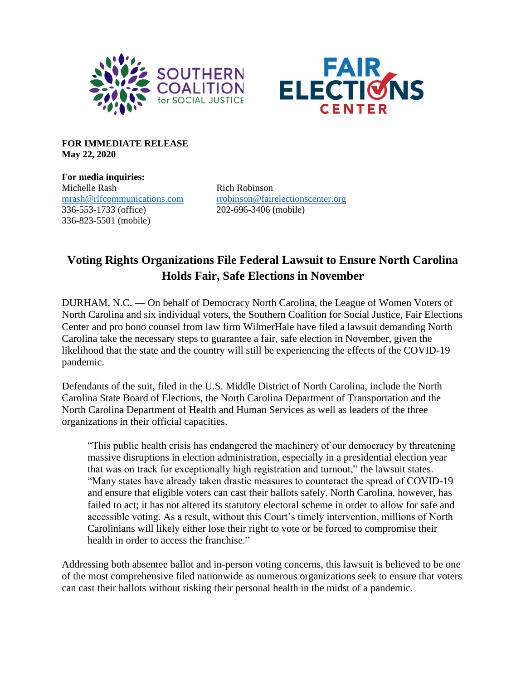



**FOR IMMEDIATE RELEASE May 22, 2020**

**For media inquiries:** Michelle Rash Rich Robinson 336-553-1733 (office) 202-696-3406 (mobile) 336-823-5501 (mobile)

[mrash@rlfcommunications.com](mailto:mrash@rlfcommunications.com) [rrobinson@fairelectionscenter.org](mailto:rrobinson@fairelectionscenter.org)

## **Voting Rights Organizations File Federal Lawsuit to Ensure North Carolina Holds Fair, Safe Elections in November**

DURHAM, N.C. — On behalf of Democracy North Carolina, the League of Women Voters of North Carolina and six individual voters, the Southern Coalition for Social Justice, Fair Elections Center and pro bono counsel from law firm WilmerHale have filed a lawsuit demanding North Carolina take the necessary steps to guarantee a fair, safe election in November, given the likelihood that the state and the country will still be experiencing the effects of the COVID-19 pandemic.

Defendants of the suit, filed in the U.S. Middle District of North Carolina, include the North Carolina State Board of Elections, the North Carolina Department of Transportation and the North Carolina Department of Health and Human Services as well as leaders of the three organizations in their official capacities.

"This public health crisis has endangered the machinery of our democracy by threatening massive disruptions in election administration, especially in a presidential election year that was on track for exceptionally high registration and turnout," the lawsuit states. "Many states have already taken drastic measures to counteract the spread of COVID-19 and ensure that eligible voters can cast their ballots safely. North Carolina, however, has failed to act; it has not altered its statutory electoral scheme in order to allow for safe and accessible voting. As a result, without this Court's timely intervention, millions of North Carolinians will likely either lose their right to vote or be forced to compromise their health in order to access the franchise."

Addressing both absentee ballot and in-person voting concerns, this lawsuit is believed to be one of the most comprehensive filed nationwide as numerous organizations seek to ensure that voters can cast their ballots without risking their personal health in the midst of a pandemic.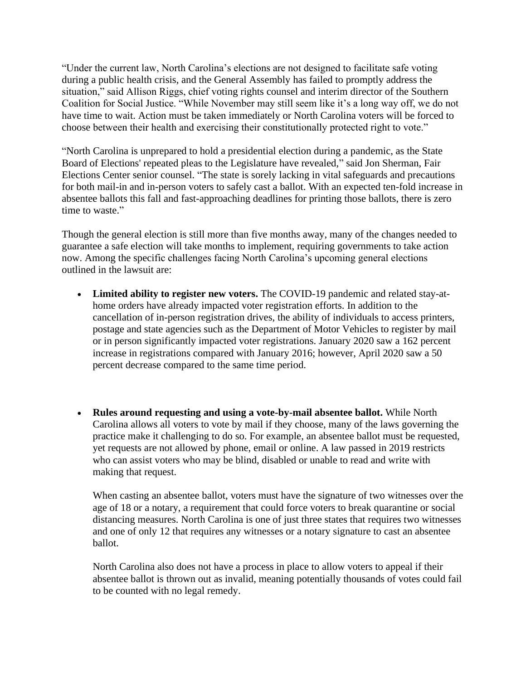"Under the current law, North Carolina's elections are not designed to facilitate safe voting during a public health crisis, and the General Assembly has failed to promptly address the situation," said Allison Riggs, chief voting rights counsel and interim director of the Southern Coalition for Social Justice. "While November may still seem like it's a long way off, we do not have time to wait. Action must be taken immediately or North Carolina voters will be forced to choose between their health and exercising their constitutionally protected right to vote."

"North Carolina is unprepared to hold a presidential election during a pandemic, as the State Board of Elections' repeated pleas to the Legislature have revealed," said Jon Sherman, Fair Elections Center senior counsel. "The state is sorely lacking in vital safeguards and precautions for both mail-in and in-person voters to safely cast a ballot. With an expected ten-fold increase in absentee ballots this fall and fast-approaching deadlines for printing those ballots, there is zero time to waste."

Though the general election is still more than five months away, many of the changes needed to guarantee a safe election will take months to implement, requiring governments to take action now. Among the specific challenges facing North Carolina's upcoming general elections outlined in the lawsuit are:

- **Limited ability to register new voters.** The COVID-19 pandemic and related stay-athome orders have already impacted voter registration efforts. In addition to the cancellation of in-person registration drives, the ability of individuals to access printers, postage and state agencies such as the Department of Motor Vehicles to register by mail or in person significantly impacted voter registrations. January 2020 saw a 162 percent increase in registrations compared with January 2016; however, April 2020 saw a 50 percent decrease compared to the same time period.
- **Rules around requesting and using a vote-by-mail absentee ballot.** While North Carolina allows all voters to vote by mail if they choose, many of the laws governing the practice make it challenging to do so. For example, an absentee ballot must be requested, yet requests are not allowed by phone, email or online. A law passed in 2019 restricts who can assist voters who may be blind, disabled or unable to read and write with making that request.

When casting an absentee ballot, voters must have the signature of two witnesses over the age of 18 or a notary, a requirement that could force voters to break quarantine or social distancing measures. North Carolina is one of just three states that requires two witnesses and one of only 12 that requires any witnesses or a notary signature to cast an absentee ballot.

North Carolina also does not have a process in place to allow voters to appeal if their absentee ballot is thrown out as invalid, meaning potentially thousands of votes could fail to be counted with no legal remedy.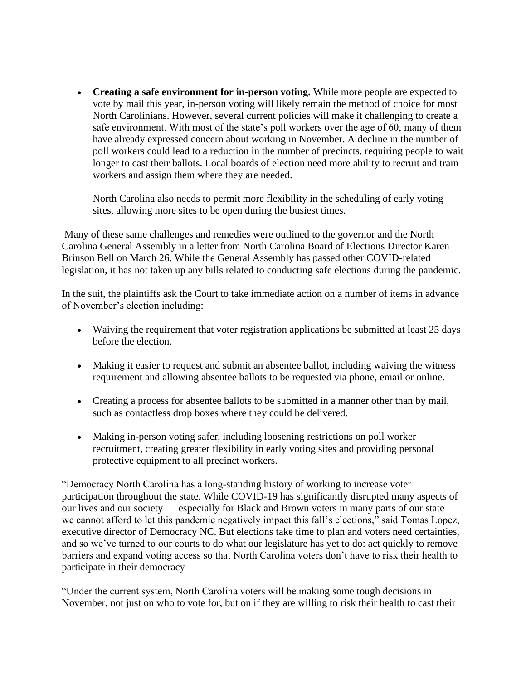• **Creating a safe environment for in-person voting.** While more people are expected to vote by mail this year, in-person voting will likely remain the method of choice for most North Carolinians. However, several current policies will make it challenging to create a safe environment. With most of the state's poll workers over the age of 60, many of them have already expressed concern about working in November. A decline in the number of poll workers could lead to a reduction in the number of precincts, requiring people to wait longer to cast their ballots. Local boards of election need more ability to recruit and train workers and assign them where they are needed.

North Carolina also needs to permit more flexibility in the scheduling of early voting sites, allowing more sites to be open during the busiest times.

Many of these same challenges and remedies were outlined to the governor and the North Carolina General Assembly in a letter from North Carolina Board of Elections Director Karen Brinson Bell on March 26. While the General Assembly has passed other COVID-related legislation, it has not taken up any bills related to conducting safe elections during the pandemic.

In the suit, the plaintiffs ask the Court to take immediate action on a number of items in advance of November's election including:

- Waiving the requirement that voter registration applications be submitted at least 25 days before the election.
- Making it easier to request and submit an absentee ballot, including waiving the witness requirement and allowing absentee ballots to be requested via phone, email or online.
- Creating a process for absentee ballots to be submitted in a manner other than by mail, such as contactless drop boxes where they could be delivered.
- Making in-person voting safer, including loosening restrictions on poll worker recruitment, creating greater flexibility in early voting sites and providing personal protective equipment to all precinct workers.

"Democracy North Carolina has a long-standing history of working to increase voter participation throughout the state. While COVID-19 has significantly disrupted many aspects of our lives and our society — especially for Black and Brown voters in many parts of our state we cannot afford to let this pandemic negatively impact this fall's elections," said Tomas Lopez, executive director of Democracy NC. But elections take time to plan and voters need certainties, and so we've turned to our courts to do what our legislature has yet to do: act quickly to remove barriers and expand voting access so that North Carolina voters don't have to risk their health to participate in their democracy

"Under the current system, North Carolina voters will be making some tough decisions in November, not just on who to vote for, but on if they are willing to risk their health to cast their